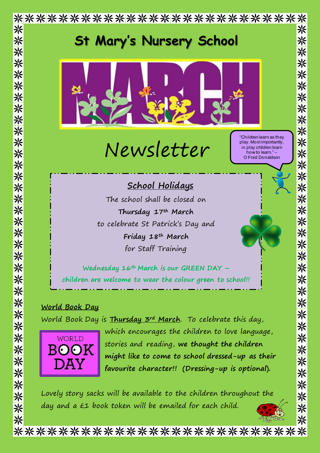

\*\*\*\*\*\*\*\*\*\*\*\*\*\*\*\*\*\*\*\*\*\*\*\*\*\*\*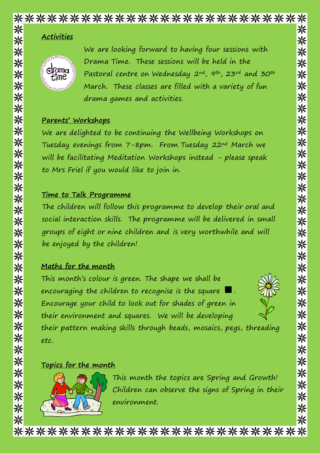## \*\*\*\*\*\*\*\*\*\*\*\*\*\*\*\*\*\*\*\*\*\*\*\*\*\*\*\* 米

## **Activities**



We are looking forward to having four sessions with Drama Time. These sessions will be held in the Pastoral centre on Wednesday 2nd, 9th, 23rd and 30th March. These classes are filled with a variety of fun drama games and activities.

#### **Parents' Workshops**

We are delighted to be continuing the Wellbeing Workshops on Tuesday evenings from 7-8pm. From Tuesday 22nd March we will be facilitating Meditation Workshops instead - please speak to Mrs Friel if you would like to join in.

### **Time to Talk Programme**

The children will follow this programme to develop their oral and social interaction skills. The programme will be delivered in small groups of eight or nine children and is very worthwhile and will be enjoyed by the children!

## **Maths for the month**

This month's colour is green. The shape we shall be encouraging the children to recognise is the square Encourage your child to look out for shades of green in their environment and squares. We will be developing



※

※

米

米

米

米

米

※

米

※

※

※

<mark>☀</mark>

兴 米

※

米

※

米

米

※

※

※

※

※

※

※

※

※

※

米

米

米

米

their pattern making skills through beads, mosaics, pegs, threading etc.

#### **Topics for the month**



This month the topics are Spring and Growth! Children can observe the signs of Spring in their environment.

\*\*\*\*\*\*\*\*\*\*\*\*\*\*\*\*\*\*\*\*\*\*\*\*\*\*\*\*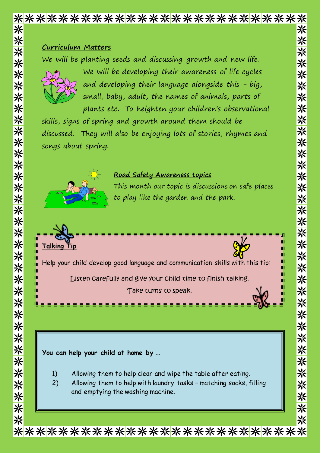# \*\*\*\*\*\*\*\*\*\*\*\*\*\*\*\*\*\*\*\*\*\*\*\*\*\*\*\* 米

#### **Curriculum Matters**

We will be planting seeds and discussing growth and new life.



We will be developing their awareness of life cycles and developing their language alongside this - big, small, baby, adult, the names of animals, parts of plants etc. To heighten your children's observational 米

米 米

※

※

※

米

\*\*\*\*\*\*\*\*\*\*\*\*

米

※

米米

来

米

米

米

※

※

※

※

兴

※

※

skills, signs of spring and growth around them should be discussed. They will also be enjoying lots of stories, rhymes and songs about spring.



## **Road Safety Awareness topics**

This month our topic is discussions on safe places to play like the garden and the park.



#### **You can help your child at home by …**

- 1) Allowing them to help clear and wipe the table after eating.
- 2) Allowing them to help with laundry tasks matching socks, filling and emptying the washing machine.

\*\*\*\*\*\*\*\*\*\*\*\*\*\*\*\*\*\*\*\*\*\*\*\*\*\*\*